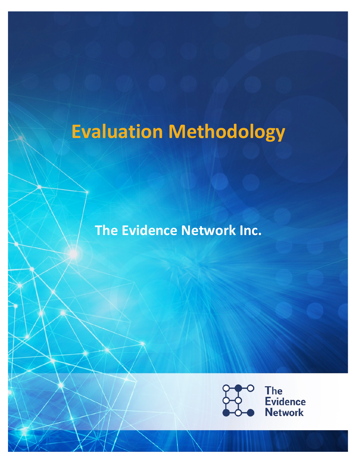# **Evaluation Methodology**

**The Evidence Network Inc.** 

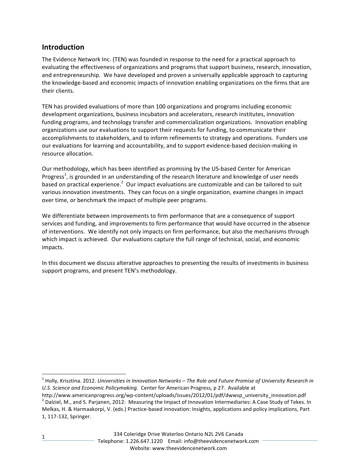# **Introduction**

The Evidence Network Inc. (TEN) was founded in response to the need for a practical approach to evaluating the effectiveness of organizations and programs that support business, research, innovation, and entrepreneurship. We have developed and proven a universally applicable approach to capturing the knowledge-based and economic impacts of innovation enabling organizations on the firms that are their clients.

TEN has provided evaluations of more than 100 organizations and programs including economic development organizations, business incubators and accelerators, research institutes, innovation funding programs, and technology transfer and commercialization organizations. Innovation enabling organizations use our evaluations to support their requests for funding, to communicate their accomplishments to stakeholders, and to inform refinements to strategy and operations. Funders use our evaluations for learning and accountability, and to support evidence-based decision-making in resource allocation.

Our methodology, which has been identified as promising by the US-based Center for American Progress<sup>1</sup>, is grounded in an understanding of the research literature and knowledge of user needs based on practical experience.<sup>2</sup> Our impact evaluations are customizable and can be tailored to suit various innovation investments. They can focus on a single organization, examine changes in impact over time, or benchmark the impact of multiple peer programs.

We differentiate between improvements to firm performance that are a consequence of support services and funding, and improvements to firm performance that would have occurred in the absence of interventions. We identify not only impacts on firm performance, but also the mechanisms through which impact is achieved. Our evaluations capture the full range of technical, social, and economic impacts.

In this document we discuss alterative approaches to presenting the results of investments in business support programs, and present TEN's methodology.

<sup>&</sup>lt;sup>1</sup> Holly, Krisztina. 2012. *Universities in Innovation Networks* – The Role and Future Promise of University Research in U.S. Science and Economic Policymaking. Center for American Progress, p 27. Available at

http://www.americanprogress.org/wp-content/uploads/issues/2012/01/pdf/dwwsp\_university\_innovation.pdf  $^2$  Dalziel, M., and S. Parjanen, 2012: Measuring the Impact of Innovation Intermediaries: A Case Study of Tekes. In Melkas, H. & Harmaakorpi, V. (eds.) Practice-based innovation: Insights, applications and policy implications, Part 1, 117-132, Springer.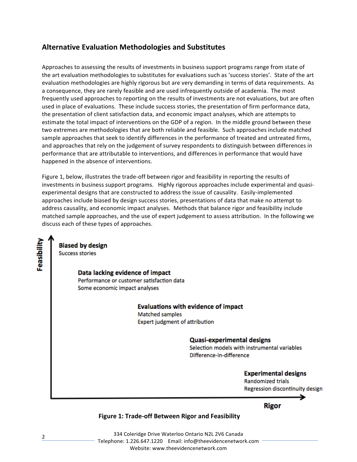# **Alternative Evaluation Methodologies and Substitutes**

Approaches to assessing the results of investments in business support programs range from state of the art evaluation methodologies to substitutes for evaluations such as 'success stories'. State of the art evaluation methodologies are highly rigorous but are very demanding in terms of data requirements. As a consequence, they are rarely feasible and are used infrequently outside of academia. The most frequently used approaches to reporting on the results of investments are not evaluations, but are often used in place of evaluations. These include success stories, the presentation of firm performance data, the presentation of client satisfaction data, and economic impact analyses, which are attempts to estimate the total impact of interventions on the GDP of a region. In the middle ground between these two extremes are methodologies that are both reliable and feasible. Such approaches include matched sample approaches that seek to identify differences in the performance of treated and untreated firms, and approaches that rely on the judgement of survey respondents to distinguish between differences in performance that are attributable to interventions, and differences in performance that would have happened in the absence of interventions.

Figure 1, below, illustrates the trade-off between rigor and feasibility in reporting the results of investments in business support programs. Highly rigorous approaches include experimental and quasiexperimental designs that are constructed to address the issue of causality. Easily-implemented approaches include biased by design success stories, presentations of data that make no attempt to address causality, and economic impact analyses. Methods that balance rigor and feasibility include matched sample approaches, and the use of expert judgement to assess attribution. In the following we discuss each of these types of approaches.

Feasibility **Biased by design Success stories** Data lacking evidence of impact Performance or customer satisfaction data Some economic impact analyses

**Evaluations with evidence of impact Matched samples Expert judgment of attribution** 

**Quasi-experimental designs** 

Selection models with instrumental variables Difference-in-difference

> **Experimental designs Randomized trials** Regression discontinuity design

> > Rigor

# **Figure 1: Trade-off Between Rigor and Feasibility**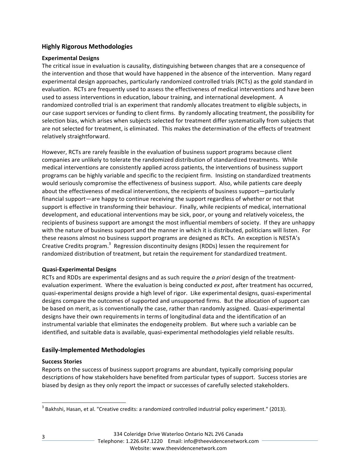# **Highly Rigorous Methodologies**

## **Experimental Designs**

The critical issue in evaluation is causality, distinguishing between changes that are a consequence of the intervention and those that would have happened in the absence of the intervention. Many regard experimental design approaches, particularly randomized controlled trials (RCTs) as the gold standard in evaluation. RCTs are frequently used to assess the effectiveness of medical interventions and have been used to assess interventions in education, labour training, and international development. A randomized controlled trial is an experiment that randomly allocates treatment to eligible subjects, in our case support services or funding to client firms. By randomly allocating treatment, the possibility for selection bias, which arises when subjects selected for treatment differ systematically from subjects that are not selected for treatment, is eliminated. This makes the determination of the effects of treatment relatively straightforward.

However, RCTs are rarely feasible in the evaluation of business support programs because client companies are unlikely to tolerate the randomized distribution of standardized treatments. While medical interventions are consistently applied across patients, the interventions of business support programs can be highly variable and specific to the recipient firm. Insisting on standardized treatments would seriously compromise the effectiveness of business support. Also, while patients care deeply about the effectiveness of medical interventions, the recipients of business support—particularly financial support—are happy to continue receiving the support regardless of whether or not that support is effective in transforming their behaviour. Finally, while recipients of medical, international development, and educational interventions may be sick, poor, or young and relatively voiceless, the recipients of business support are amongst the most influential members of society. If they are unhappy with the nature of business support and the manner in which it is distributed, politicians will listen. For these reasons almost no business support programs are designed as RCTs. An exception is NESTA's Creative Credits program.<sup>3</sup> Regression discontinuity designs (RDDs) lessen the requirement for randomized distribution of treatment, but retain the requirement for standardized treatment.

## **Quasi-Experimental Designs**

RCTs and RDDs are experimental designs and as such require the *a priori* design of the treatmentevaluation experiment. Where the evaluation is being conducted ex post, after treatment has occurred, quasi-experimental designs provide a high level of rigor. Like experimental designs, quasi-experimental designs compare the outcomes of supported and unsupported firms. But the allocation of support can be based on merit, as is conventionally the case, rather than randomly assigned. Quasi-experimental designs have their own requirements in terms of longitudinal data and the identification of an instrumental variable that eliminates the endogeneity problem. But where such a variable can be identified, and suitable data is available, quasi-experimental methodologies yield reliable results.

## **Easily-Implemented Methodologies**

## **Success Stories**

Reports on the success of business support programs are abundant, typically comprising popular descriptions of how stakeholders have benefited from particular types of support. Success stories are biased by design as they only report the impact or successes of carefully selected stakeholders.

3

 $3$  Bakhshi, Hasan, et al. "Creative credits: a randomized controlled industrial policy experiment." (2013).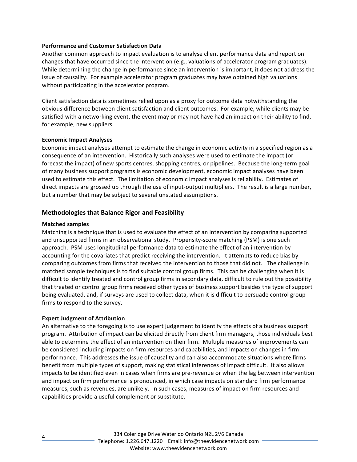#### **Performance and Customer Satisfaction Data**

Another common approach to impact evaluation is to analyse client performance data and report on changes that have occurred since the intervention (e.g., valuations of accelerator program graduates). While determining the change in performance since an intervention is important, it does not address the issue of causality. For example accelerator program graduates may have obtained high valuations without participating in the accelerator program.

Client satisfaction data is sometimes relied upon as a proxy for outcome data notwithstanding the obvious difference between client satisfaction and client outcomes. For example, while clients may be satisfied with a networking event, the event may or may not have had an impact on their ability to find, for example, new suppliers.

#### **Economic Impact Analyses**

Economic impact analyses attempt to estimate the change in economic activity in a specified region as a consequence of an intervention. Historically such analyses were used to estimate the impact (or forecast the impact) of new sports centres, shopping centres, or pipelines. Because the long-term goal of many business support programs is economic development, economic impact analyses have been used to estimate this effect. The limitation of economic impact analyses is reliability. Estimates of direct impacts are grossed up through the use of input-output multipliers. The result is a large number, but a number that may be subject to several unstated assumptions.

## **Methodologies that Balance Rigor and Feasibility**

#### **Matched samples**

Matching is a technique that is used to evaluate the effect of an intervention by comparing supported and unsupported firms in an observational study. Propensity-score matching (PSM) is one such approach. PSM uses longitudinal performance data to estimate the effect of an intervention by accounting for the covariates that predict receiving the intervention. It attempts to reduce bias by comparing outcomes from firms that received the intervention to those that did not. The challenge in matched sample techniques is to find suitable control group firms. This can be challenging when it is difficult to identify treated and control group firms in secondary data, difficult to rule out the possibility that treated or control group firms received other types of business support besides the type of support being evaluated, and, if surveys are used to collect data, when it is difficult to persuade control group firms to respond to the survey.

#### **Expert Judgment of Attribution**

An alternative to the foregoing is to use expert judgement to identify the effects of a business support program. Attribution of impact can be elicited directly from client firm managers, those individuals best able to determine the effect of an intervention on their firm. Multiple measures of improvements can be considered including impacts on firm resources and capabilities, and impacts on changes in firm performance. This addresses the issue of causality and can also accommodate situations where firms benefit from multiple types of support, making statistical inferences of impact difficult. It also allows impacts to be identified even in cases when firms are pre-revenue or when the lag between intervention and impact on firm performance is pronounced, in which case impacts on standard firm performance measures, such as revenues, are unlikely. In such cases, measures of impact on firm resources and capabilities provide a useful complement or substitute.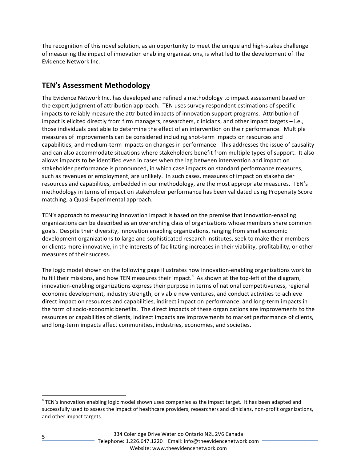The recognition of this novel solution, as an opportunity to meet the unique and high-stakes challenge of measuring the impact of innovation enabling organizations, is what led to the development of The Evidence Network Inc.

# **TEN's Assessment Methodology**

The Evidence Network Inc. has developed and refined a methodology to impact assessment based on the expert judgment of attribution approach. TEN uses survey respondent estimations of specific impacts to reliably measure the attributed impacts of innovation support programs. Attribution of impact is elicited directly from firm managers, researchers, clinicians, and other impact targets - i.e., those individuals best able to determine the effect of an intervention on their performance. Multiple measures of improvements can be considered including shot-term impacts on resources and capabilities, and medium-term impacts on changes in performance. This addresses the issue of causality and can also accommodate situations where stakeholders benefit from multiple types of support. It also allows impacts to be identified even in cases when the lag between intervention and impact on stakeholder performance is pronounced, in which case impacts on standard performance measures, such as revenues or employment, are unlikely. In such cases, measures of impact on stakeholder resources and capabilities, embedded in our methodology, are the most appropriate measures. TEN's methodology in terms of impact on stakeholder performance has been validated using Propensity Score matching, a Quasi-Experimental approach.

TEN's approach to measuring innovation impact is based on the premise that innovation-enabling organizations can be described as an overarching class of organizations whose members share common goals. Despite their diversity, innovation enabling organizations, ranging from small economic development organizations to large and sophisticated research institutes, seek to make their members or clients more innovative, in the interests of facilitating increases in their viability, profitability, or other measures of their success.

The logic model shown on the following page illustrates how innovation-enabling organizations work to fulfill their missions, and how TEN measures their impact.<sup>4</sup> As shown at the top-left of the diagram, innovation-enabling organizations express their purpose in terms of national competitiveness, regional economic development, industry strength, or viable new ventures, and conduct activities to achieve direct impact on resources and capabilities, indirect impact on performance, and long-term impacts in the form of socio-economic benefits. The direct impacts of these organizations are improvements to the resources or capabilities of clients, indirect impacts are improvements to market performance of clients, and long-term impacts affect communities, industries, economies, and societies.

5

 $4$  TEN's innovation enabling logic model shown uses companies as the impact target. It has been adapted and successfully used to assess the impact of healthcare providers, researchers and clinicians, non-profit organizations, and other impact targets.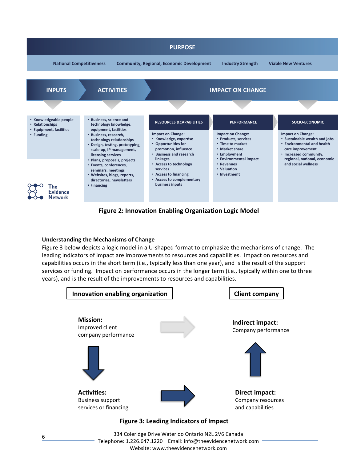

# **Figure 2: Innovation Enabling Organization Logic Model**

#### **Understanding the Mechanisms of Change**

Figure 3 below depicts a logic model in a U-shaped format to emphasize the mechanisms of change. The leading indicators of impact are improvements to resources and capabilities. Impact on resources and reading indicators of impact are improvements to resources and capabilities. Timpact on resources and<br>capabilities occurs in the short term (i.e., typically less than one year), and is the result of the support services or funding. Impact on performance occurs in the longer term (i.e., typically within one to three years), and is the result of the improvements to resources and capabilities.



334 Coleridge Drive Waterloo Ontario N2L 2V6 Canada Telephone: 1.226.647.1220 Email: info@theevidencenetwork.com Website: www.theevidencenetwork.com

6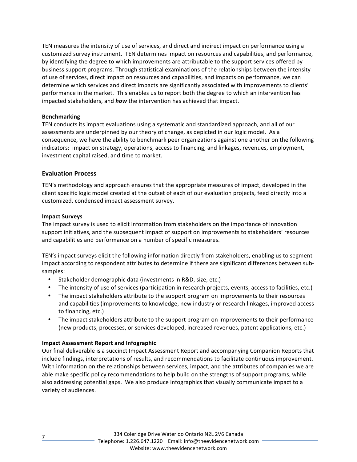TEN measures the intensity of use of services, and direct and indirect impact on performance using a customized survey instrument. TEN determines impact on resources and capabilities, and performance, by identifying the degree to which improvements are attributable to the support services offered by business support programs. Through statistical examinations of the relationships between the intensity of use of services, direct impact on resources and capabilities, and impacts on performance, we can determine which services and direct impacts are significantly associated with improvements to clients' performance in the market. This enables us to report both the degree to which an intervention has impacted stakeholders, and **how** the intervention has achieved that impact.

#### **Benchmarking**

TEN conducts its impact evaluations using a systematic and standardized approach, and all of our assessments are underpinned by our theory of change, as depicted in our logic model. As a consequence, we have the ability to benchmark peer organizations against one another on the following indicators: impact on strategy, operations, access to financing, and linkages, revenues, employment, investment capital raised, and time to market.

# **Evaluation Process**

TEN's methodology and approach ensures that the appropriate measures of impact, developed in the client specific logic model created at the outset of each of our evaluation projects, feed directly into a customized, condensed impact assessment survey.

## **Impact Surveys**

The impact survey is used to elicit information from stakeholders on the importance of innovation support initiatives, and the subsequent impact of support on improvements to stakeholders' resources and capabilities and performance on a number of specific measures.

TEN's impact surveys elicit the following information directly from stakeholders, enabling us to segment impact according to respondent attributes to determine if there are significant differences between subsamples:

- Stakeholder demographic data (investments in R&D, size, etc.)
- The intensity of use of services (participation in research projects, events, access to facilities, etc.)
- The impact stakeholders attribute to the support program on improvements to their resources and capabilities (improvements to knowledge, new industry or research linkages, improved access to financing, etc.)
- The impact stakeholders attribute to the support program on improvements to their performance (new products, processes, or services developed, increased revenues, patent applications, etc.)

## **Impact Assessment Report and Infographic**

Our final deliverable is a succinct Impact Assessment Report and accompanying Companion Reports that include findings, interpretations of results, and recommendations to facilitate continuous improvement. With information on the relationships between services, impact, and the attributes of companies we are able make specific policy recommendations to help build on the strengths of support programs, while also addressing potential gaps. We also produce infographics that visually communicate impact to a variety of audiences.